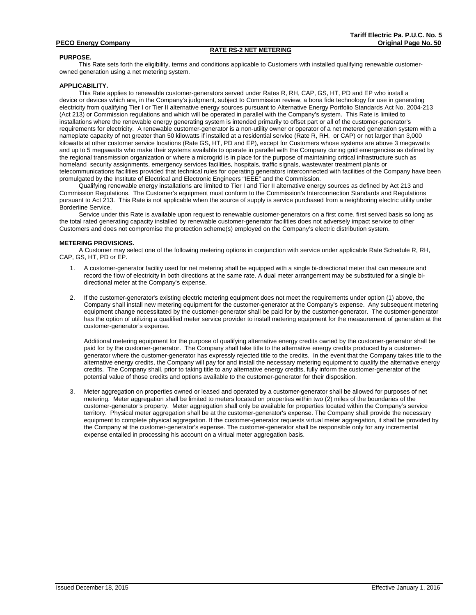# **RATE RS-2 NET METERING**

#### **PURPOSE.**

This Rate sets forth the eligibility, terms and conditions applicable to Customers with installed qualifying renewable customerowned generation using a net metering system.

#### **APPLICABILITY.**

This Rate applies to renewable customer-generators served under Rates R, RH, CAP, GS, HT, PD and EP who install a device or devices which are, in the Company's judgment, subject to Commission review, a bona fide technology for use in generating electricity from qualifying Tier I or Tier II alternative energy sources pursuant to Alternative Energy Portfolio Standards Act No. 2004-213 (Act 213) or Commission regulations and which will be operated in parallel with the Company's system. This Rate is limited to installations where the renewable energy generating system is intended primarily to offset part or all of the customer-generator's requirements for electricity. A renewable customer-generator is a non-utility owner or operator of a net metered generation system with a nameplate capacity of not greater than 50 kilowatts if installed at a residential service (Rate R, RH, or CAP) or not larger than 3,000 kilowatts at other customer service locations (Rate GS, HT, PD and EP), except for Customers whose systems are above 3 megawatts and up to 5 megawatts who make their systems available to operate in parallel with the Company during grid emergencies as defined by the regional transmission organization or where a microgrid is in place for the purpose of maintaining critical infrastructure such as homeland security assignments, emergency services facilities, hospitals, traffic signals, wastewater treatment plants or telecommunications facilities provided that technical rules for operating generators interconnected with facilities of the Company have been promulgated by the Institute of Electrical and Electronic Engineers "IEEE" and the Commission.

Qualifying renewable energy installations are limited to Tier I and Tier II alternative energy sources as defined by Act 213 and Commission Regulations. The Customer's equipment must conform to the Commission's Interconnection Standards and Regulations pursuant to Act 213. This Rate is not applicable when the source of supply is service purchased from a neighboring electric utility under Borderline Service.

Service under this Rate is available upon request to renewable customer-generators on a first come, first served basis so long as the total rated generating capacity installed by renewable customer-generator facilities does not adversely impact service to other Customers and does not compromise the protection scheme(s) employed on the Company's electric distribution system.

#### **METERING PROVISIONS.**

 CAP, GS, HT, PD or EP. A Customer may select one of the following metering options in conjunction with service under applicable Rate Schedule R, RH,

- 1. A customer-generator facility used for net metering shall be equipped with a single bi-directional meter that can measure and record the flow of electricity in both directions at the same rate. A dual meter arrangement may be substituted for a single bidirectional meter at the Company's expense.
- 2. If the customer-generator's existing electric metering equipment does not meet the requirements under option (1) above, the Company shall install new metering equipment for the customer-generator at the Company's expense. Any subsequent metering equipment change necessitated by the customer-generator shall be paid for by the customer-generator. The customer-generator has the option of utilizing a qualified meter service provider to install metering equipment for the measurement of generation at the customer-generator's expense.

Additional metering equipment for the purpose of qualifying alternative energy credits owned by the customer-generator shall be paid for by the customer-generator. The Company shall take title to the alternative energy credits produced by a customergenerator where the customer-generator has expressly rejected title to the credits. In the event that the Company takes title to the alternative energy credits, the Company will pay for and install the necessary metering equipment to qualify the alternative energy credits. The Company shall, prior to taking title to any alternative energy credits, fully inform the customer-generator of the potential value of those credits and options available to the customer-generator for their disposition.

3. Meter aggregation on properties owned or leased and operated by a customer-generator shall be allowed for purposes of net metering. Meter aggregation shall be limited to meters located on properties within two (2) miles of the boundaries of the customer-generator's property. Meter aggregation shall only be available for properties located within the Company's service territory. Physical meter aggregation shall be at the customer-generator's expense. The Company shall provide the necessary equipment to complete physical aggregation. If the customer-generator requests virtual meter aggregation, it shall be provided by the Company at the customer-generator's expense. The customer-generator shall be responsible only for any incremental expense entailed in processing his account on a virtual meter aggregation basis.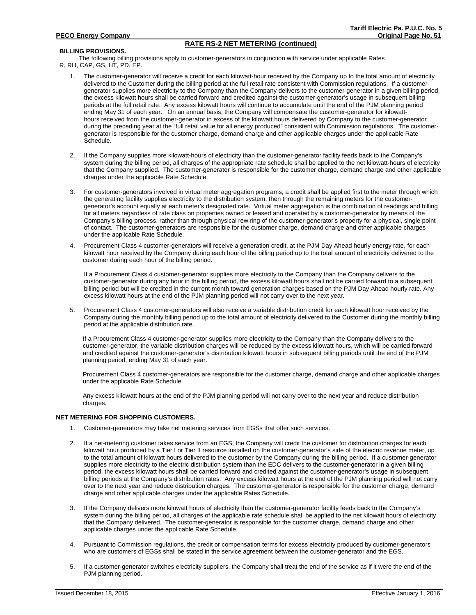# **RATE RS-2 NET METERING (continued)**

## **BILLING PROVISIONS.**

The following billing provisions apply to customer-generators in conjunction with service under applicable Rates R, RH, CAP, GS, HT, PD, EP.

- 1. The customer-generator will receive a credit for each kilowatt-hour received by the Company up to the total amount of electricity delivered to the Customer during the billing period at the full retail rate consistent with Commission regulations. If a customergenerator supplies more electricity to the Company than the Company delivers to the customer-generator in a given billing period, the excess kilowatt hours shall be carried forward and credited against the customer-generator's usage in subsequent billing periods at the full retail rate. Any excess kilowatt hours will continue to accumulate until the end of the PJM planning period ending May 31 of each year. On an annual basis, the Company will compensate the customer-generator for kilowatthours received from the customer-generator in excess of the kilowatt hours delivered by Company to the customer-generator during the preceding year at the "full retail value for all energy produced" consistent with Commission regulations. The customergenerator is responsible for the customer charge, demand charge and other applicable charges under the applicable Rate Schedule.
- 2. If the Company supplies more kilowatt-hours of electricity than the customer-generator facility feeds back to the Company's system during the billing period, all charges of the appropriate rate schedule shall be applied to the net kilowatt-hours of electricity that the Company supplied. The customer-generator is responsible for the customer charge, demand charge and other applicable charges under the applicable Rate Schedule.
- 3. For customer-generators involved in virtual meter aggregation programs, a credit shall be applied first to the meter through which the generating facility supplies electricity to the distribution system, then through the remaining meters for the customergenerator's account equally at each meter's designated rate. Virtual meter aggregation is the combination of readings and billing for all meters regardless of rate class on properties owned or leased and operated by a customer-generator by means of the Company's billing process, rather than through physical rewiring of the customer-generator's property for a physical, single point of contact. The customer-generators are responsible for the customer charge, demand charge and other applicable charges under the applicable Rate Schedule.
- kilowatt hour received by the Company during each hour of the billing period up to the total amount of electricity delivered to the<br>customer during each hour of the billing period. Procurement Class 4 customer-generators will receive a generation credit, at the PJM Day Ahead hourly energy rate, for each

 billing period but will be credited in the current month toward generation charges based on the PJM Day Ahead hourly rate. Any If a Procurement Class 4 customer-generator supplies more electricity to the Company than the Company delivers to the customer-generator during any hour in the billing period, the excess kilowatt hours shall not be carried forward to a subsequent excess kilowatt hours at the end of the PJM planning period will not carry over to the next year.

5. Procurement Class 4 customer-generators will also receive a variable distribution credit for each kilowatt hour received by the Company during the monthly billing period up to the total amount of electricity delivered to the Customer during the monthly billing period at the applicable distribution rate.

If a Procurement Class 4 customer-generator supplies more electricity to the Company than the Company delivers to the customer-generator, the variable distribution charges will be reduced by the excess kilowatt hours, which will be carried forward and credited against the customer-generator's distribution kilowatt hours in subsequent billing periods until the end of the PJM planning period, ending May 31 of each year.

Procurement Class 4 customer-generators are responsible for the customer charge, demand charge and other applicable charges under the applicable Rate Schedule.

Any excess kilowatt hours at the end of the PJM planning period will not carry over to the next year and reduce distribution charges.

### **NET METERING FOR SHOPPING CUSTOMERS.**

- 1. Customer-generators may take net metering services from EGSs that offer such services.
- 2. If a net-metering customer takes service from an EGS, the Company will credit the customer for distribution charges for each kilowatt hour produced by a Tier I or Tier II resource installed on the customer-generator's side of the electric revenue meter, up to the total amount of kilowatt hours delivered to the customer by the Company during the billing period. If a customer-generator supplies more electricity to the electric distribution system than the EDC delivers to the customer-generator in a given billing period, the excess kilowatt hours shall be carried forward and credited against the customer-generator's usage in subsequent billing periods at the Company's distribution rates. Any excess kilowatt hours at the end of the PJM planning period will not carry over to the next year and reduce distribution charges. The customer-generator is responsible for the customer charge, demand charge and other applicable charges under the applicable Rates Schedule.
- If the Company delivers more kilowatt hours of electricity than the customer-generator facility feeds back to the Company's system during the billing period, all charges of the applicable rate schedule shall be applied to the net kilowatt hours of electricity that the Company delivered. The customer-generator is responsible for the customer charge, demand charge and other applicable charges under the applicable Rate Schedule.
- 4. Pursuant to Commission regulations, the credit or compensation terms for excess electricity produced by customer-generators who are customers of EGSs shall be stated in the service agreement between the customer-generator and the EGS.
- 5. If a customer-generator switches electricity suppliers, the Company shall treat the end of the service as if it were the end of the PJM planning period.